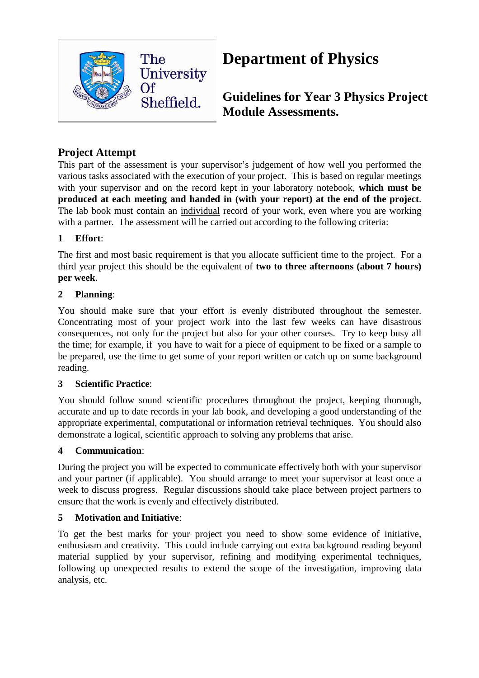

# **Department of Physics**

**Guidelines for Year 3 Physics Project Module Assessments.** 

# **Project Attempt**

This part of the assessment is your supervisor's judgement of how well you performed the various tasks associated with the execution of your project. This is based on regular meetings with your supervisor and on the record kept in your laboratory notebook, **which must be produced at each meeting and handed in (with your report) at the end of the project**. The lab book must contain an individual record of your work, even where you are working with a partner. The assessment will be carried out according to the following criteria:

## **1 Effort**:

The first and most basic requirement is that you allocate sufficient time to the project. For a third year project this should be the equivalent of **two to three afternoons (about 7 hours) per week**.

### **2 Planning**:

You should make sure that your effort is evenly distributed throughout the semester. Concentrating most of your project work into the last few weeks can have disastrous consequences, not only for the project but also for your other courses. Try to keep busy all the time; for example, if you have to wait for a piece of equipment to be fixed or a sample to be prepared, use the time to get some of your report written or catch up on some background reading.

#### **3 Scientific Practice**:

You should follow sound scientific procedures throughout the project, keeping thorough, accurate and up to date records in your lab book, and developing a good understanding of the appropriate experimental, computational or information retrieval techniques. You should also demonstrate a logical, scientific approach to solving any problems that arise.

#### **4 Communication**:

During the project you will be expected to communicate effectively both with your supervisor and your partner (if applicable). You should arrange to meet your supervisor at least once a week to discuss progress. Regular discussions should take place between project partners to ensure that the work is evenly and effectively distributed.

#### **5 Motivation and Initiative**:

To get the best marks for your project you need to show some evidence of initiative, enthusiasm and creativity. This could include carrying out extra background reading beyond material supplied by your supervisor, refining and modifying experimental techniques, following up unexpected results to extend the scope of the investigation, improving data analysis, etc.